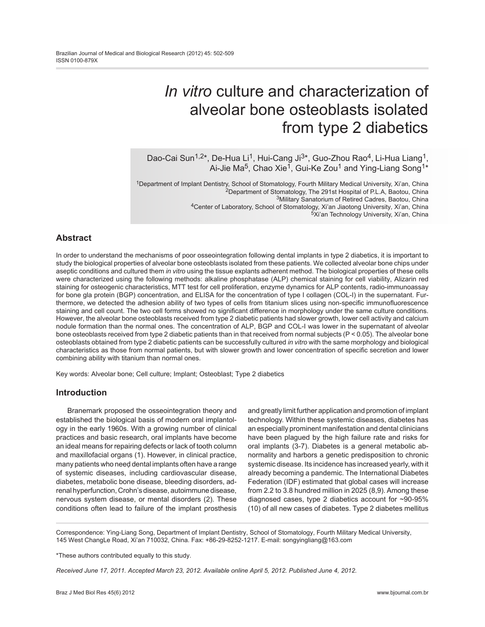# *In vitro* culture and characterization of alveolar bone osteoblasts isolated from type 2 diabetics

Dao-Cai Sun<sup>1,2\*</sup>, De-Hua Li<sup>1</sup>, Hui-Cang Ji<sup>3\*</sup>, Guo-Zhou Rao<sup>4</sup>, Li-Hua Liang<sup>1</sup>, Ai-Jie Ma<sup>5</sup>, Chao Xie<sup>1</sup>, Gui-Ke Zou<sup>1</sup> and Ying-Liang Song<sup>1\*</sup>

1Department of Implant Dentistry, School of Stomatology, Fourth Military Medical University, Xi'an, China <sup>2</sup>Department of Stomatology, The 291st Hospital of P.L.A, Baotou, China 3Military Sanatorium of Retired Cadres, Baotou, China 4Center of Laboratory, School of Stomatology, Xi'an Jiaotong University*,* Xi'an, China

#### 5Xi'an Technology University, Xi'an, China

# **Abstract**

In order to understand the mechanisms of poor osseointegration following dental implants in type 2 diabetics, it is important to study the biological properties of alveolar bone osteoblasts isolated from these patients. We collected alveolar bone chips under aseptic conditions and cultured them *in vitro* using the tissue explants adherent method. The biological properties of these cells were characterized using the following methods: alkaline phosphatase (ALP) chemical staining for cell viability, Alizarin red staining for osteogenic characteristics, MTT test for cell proliferation, enzyme dynamics for ALP contents, radio-immunoassay for bone gla protein (BGP) concentration, and ELISA for the concentration of type I collagen (COL-I) in the supernatant. Furthermore, we detected the adhesion ability of two types of cells from titanium slices using non-specific immunofluorescence staining and cell count. The two cell forms showed no significant difference in morphology under the same culture conditions. However, the alveolar bone osteoblasts received from type 2 diabetic patients had slower growth, lower cell activity and calcium nodule formation than the normal ones. The concentration of ALP, BGP and COL-I was lower in the supernatant of alveolar bone osteoblasts received from type 2 diabetic patients than in that received from normal subjects (P < 0.05). The alveolar bone osteoblasts obtained from type 2 diabetic patients can be successfully cultured *in vitro* with the same morphology and biological characteristics as those from normal patients, but with slower growth and lower concentration of specific secretion and lower combining ability with titanium than normal ones.

Key words: Alveolar bone; Cell culture; Implant; Osteoblast; Type 2 diabetics

## **Introduction**

Branemark proposed the osseointegration theory and established the biological basis of modern oral implantology in the early 1960s. With a growing number of clinical practices and basic research, oral implants have become an ideal means for repairing defects or lack of tooth column and maxillofacial organs (1). However, in clinical practice, many patients who need dental implants often have a range of systemic diseases, including cardiovascular disease, diabetes, metabolic bone disease, bleeding disorders, adrenal hyperfunction, Crohn's disease, autoimmune disease, nervous system disease, or mental disorders (2). These conditions often lead to failure of the implant prosthesis and greatly limit further application and promotion of implant technology. Within these systemic diseases, diabetes has an especially prominent manifestation and dental clinicians have been plagued by the high failure rate and risks for oral implants (3-7). Diabetes is a general metabolic abnormality and harbors a genetic predisposition to chronic systemic disease. Its incidence has increased yearly, with it already becoming a pandemic. The International Diabetes Federation (IDF) estimated that global cases will increase from 2.2 to 3.8 hundred million in 2025 (8,9). Among these diagnosed cases, type 2 diabetics account for ~90-95% (10) of all new cases of diabetes. Type 2 diabetes mellitus

Correspondence: Ying-Liang Song, Department of Implant Dentistry, School of Stomatology, Fourth Military Medical University, 145 West ChangLe Road, Xi'an 710032, China. Fax: +86-29-8252-1217. E-mail: songyingliang@163.com

\*These authors contributed equally to this study.

*Received June 17, 2011. Accepted March 23, 2012. Available online April 5, 2012. Published June 4, 2012.*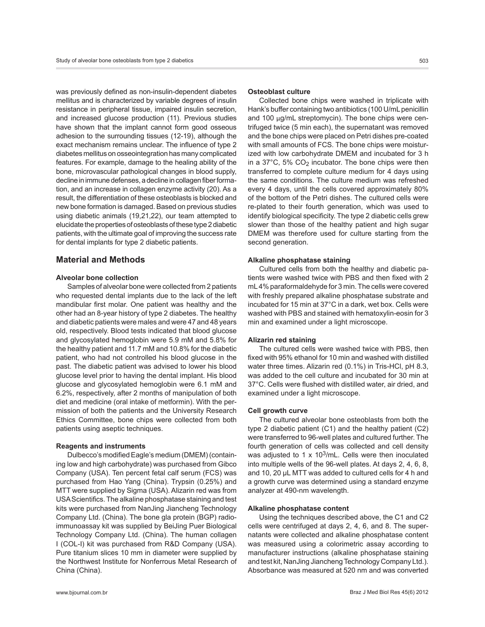was previously defined as non-insulin-dependent diabetes mellitus and is characterized by variable degrees of insulin resistance in peripheral tissue, impaired insulin secretion, and increased glucose production (11). Previous studies have shown that the implant cannot form good osseous adhesion to the surrounding tissues (12-19), although the exact mechanism remains unclear. The influence of type 2 diabetes mellitus on osseointegration has many complicated features. For example, damage to the healing ability of the bone, microvascular pathological changes in blood supply, decline in immune defenses, a decline in collagen fiber formation, and an increase in collagen enzyme activity (20). As a result, the differentiation of these osteoblasts is blocked and new bone formation is damaged. Based on previous studies using diabetic animals (19,21,22), our team attempted to elucidate the properties of osteoblasts of these type 2 diabetic patients, with the ultimate goal of improving the success rate for dental implants for type 2 diabetic patients.

## **Material and Methods**

## **Alveolar bone collection**

Samples of alveolar bone were collected from 2 patients who requested dental implants due to the lack of the left mandibular first molar. One patient was healthy and the other had an 8-year history of type 2 diabetes. The healthy and diabetic patients were males and were 47 and 48 years old, respectively. Blood tests indicated that blood glucose and glycosylated hemoglobin were 5.9 mM and 5.8% for the healthy patient and 11.7 mM and 10.8% for the diabetic patient, who had not controlled his blood glucose in the past. The diabetic patient was advised to lower his blood glucose level prior to having the dental implant. His blood glucose and glycosylated hemoglobin were 6.1 mM and 6.2%, respectively, after 2 months of manipulation of both diet and medicine (oral intake of metformin). With the permission of both the patients and the University Research Ethics Committee, bone chips were collected from both patients using aseptic techniques.

#### **Reagents and instruments**

Dulbecco's modified Eagle's medium (DMEM) (containing low and high carbohydrate) was purchased from Gibco Company (USA). Ten percent fetal calf serum (FCS) was purchased from Hao Yang (China). Trypsin (0.25%) and MTT were supplied by Sigma (USA). Alizarin red was from USA Scientifics. The alkaline phosphatase staining and test kits were purchased from NanJing Jiancheng Technology Company Ltd. (China). The bone gla protein (BGP) radioimmunoassay kit was supplied by BeiJing Puer Biological Technology Company Ltd. (China). The human collagen I (COL-I) kit was purchased from R&D Company (USA). Pure titanium slices 10 mm in diameter were supplied by the Northwest Institute for Nonferrous Metal Research of China (China).

#### **Osteoblast culture**

Collected bone chips were washed in triplicate with Hank's buffer containing two antibiotics (100 U/mL penicillin and 100 µg/mL streptomycin). The bone chips were centrifuged twice (5 min each), the supernatant was removed and the bone chips were placed on Petri dishes pre-coated with small amounts of FCS. The bone chips were moisturized with low carbohydrate DMEM and incubated for 3 h in a  $37^{\circ}$ C, 5% CO<sub>2</sub> incubator. The bone chips were then transferred to complete culture medium for 4 days using the same conditions. The culture medium was refreshed every 4 days, until the cells covered approximately 80% of the bottom of the Petri dishes. The cultured cells were re-plated to their fourth generation, which was used to identify biological specificity. The type 2 diabetic cells grew slower than those of the healthy patient and high sugar DMEM was therefore used for culture starting from the second generation.

#### **Alkaline phosphatase staining**

Cultured cells from both the healthy and diabetic patients were washed twice with PBS and then fixed with 2 mL 4% paraformaldehyde for 3 min. The cells were covered with freshly prepared alkaline phosphatase substrate and incubated for 15 min at 37°C in a dark, wet box. Cells were washed with PBS and stained with hematoxylin-eosin for 3 min and examined under a light microscope.

#### **Alizarin red staining**

The cultured cells were washed twice with PBS, then fixed with 95% ethanol for 10 min and washed with distilled water three times. Alizarin red (0.1%) in Tris-HCl, pH 8.3, was added to the cell culture and incubated for 30 min at 37°C. Cells were flushed with distilled water, air dried, and examined under a light microscope.

#### **Cell growth curve**

The cultured alveolar bone osteoblasts from both the type 2 diabetic patient (C1) and the healthy patient (C2) were transferred to 96-well plates and cultured further. The fourth generation of cells was collected and cell density was adjusted to 1 x  $10<sup>3</sup>/mL$ . Cells were then inoculated into multiple wells of the 96-well plates. At days 2, 4, 6, 8, and 10, 20 µL MTT was added to cultured cells for 4 h and a growth curve was determined using a standard enzyme analyzer at 490-nm wavelength.

## **Alkaline phosphatase content**

Using the techniques described above, the C1 and C2 cells were centrifuged at days 2, 4, 6, and 8. The supernatants were collected and alkaline phosphatase content was measured using a colorimetric assay according to manufacturer instructions (alkaline phosphatase staining and test kit, NanJing Jiancheng Technology Company Ltd.). Absorbance was measured at 520 nm and was converted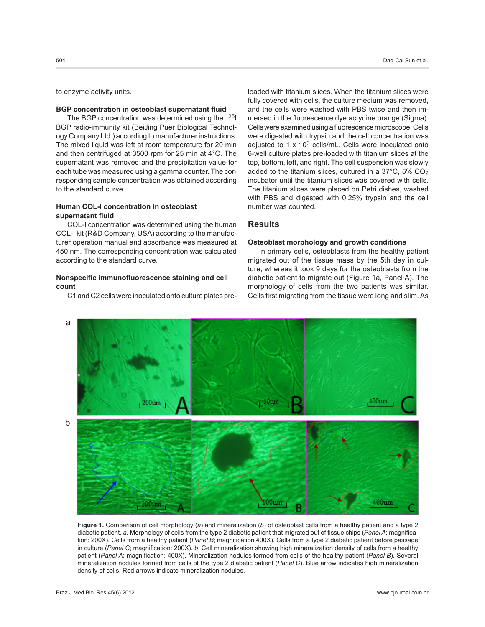to enzyme activity units.

#### **BGP concentration in osteoblast supernatant fluid**

The BGP concentration was determined using the <sup>125</sup>I BGP radio-immunity kit (BeiJing Puer Biological Technology Company Ltd.) according to manufacturer instructions. The mixed liquid was left at room temperature for 20 min and then centrifuged at 3500 rpm for 25 min at 4°C. The supernatant was removed and the precipitation value for each tube was measured using a gamma counter. The corresponding sample concentration was obtained according to the standard curve.

# **Human COL-I concentration in osteoblast supernatant fluid**

COL-I concentration was determined using the human COL-I kit (R&D Company, USA) according to the manufacturer operation manual and absorbance was measured at 450 nm. The corresponding concentration was calculated according to the standard curve.

## **Nonspecific immunofluorescence staining and cell count**

C1 and C2 cells were inoculated onto culture plates pre-

loaded with titanium slices. When the titanium slices were fully covered with cells, the culture medium was removed, and the cells were washed with PBS twice and then immersed in the fluorescence dye acrydine orange (Sigma). Cells were examined using a fluorescence microscope. Cells were digested with trypsin and the cell concentration was adjusted to 1  $\times$  10<sup>3</sup> cells/mL. Cells were inoculated onto 6-well culture plates pre-loaded with titanium slices at the top, bottom, left, and right. The cell suspension was slowly added to the titanium slices, cultured in a  $37^{\circ}$ C,  $5\%$  CO<sub>2</sub> incubator until the titanium slices was covered with cells. The titanium slices were placed on Petri dishes, washed with PBS and digested with 0.25% trypsin and the cell number was counted.

# **Results**

#### **Osteoblast morphology and growth conditions**

In primary cells, osteoblasts from the healthy patient migrated out of the tissue mass by the 5th day in culture, whereas it took 9 days for the osteoblasts from the diabetic patient to migrate out (Figure 1a, Panel A). The morphology of cells from the two patients was similar. Cells first migrating from the tissue were long and slim. As



**Figure 1.** Comparison of cell morphology (*a*) and mineralization (*b*) of osteoblast cells from a healthy patient and a type 2 diabetic patient. *a*, Morphology of cells from the type 2 diabetic patient that migrated out of tissue chips (*Panel A*; magnification: 200X). Cells from a healthy patient (*Panel B*; magnification 400X). Cells from a type 2 diabetic patient before passage in culture (*Panel C*; magnification: 200X). *b*, Cell mineralization showing high mineralization density of cells from a healthy patient (*Panel A*; magnification: 400X). Mineralization nodules formed from cells of the healthy patient (*Panel B*). Several mineralization nodules formed from cells of the type 2 diabetic patient (*Panel C*). Blue arrow indicates high mineralization density of cells. Red arrows indicate mineralization nodules.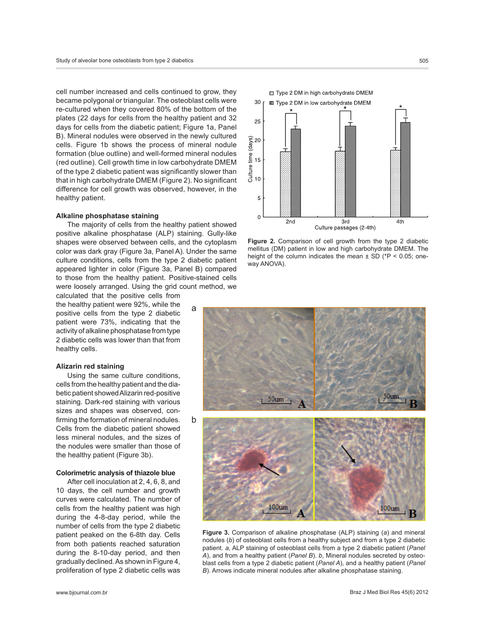cell number increased and cells continued to grow, they became polygonal or triangular. The osteoblast cells were re-cultured when they covered 80% of the bottom of the plates (22 days for cells from the healthy patient and 32 days for cells from the diabetic patient; Figure 1a, Panel B). Mineral nodules were observed in the newly cultured cells. Figure 1b shows the process of mineral nodule formation (blue outline) and well-formed mineral nodules (red outline). Cell growth time in low carbohydrate DMEM of the type 2 diabetic patient was significantly slower than that in high carbohydrate DMEM (Figure 2). No significant difference for cell growth was observed, however, in the healthy patient.

#### **Alkaline phosphatase staining**

The majority of cells from the healthy patient showed positive alkaline phosphatase (ALP) staining. Gully-like shapes were observed between cells, and the cytoplasm color was dark gray (Figure 3a, Panel A). Under the same culture conditions, cells from the type 2 diabetic patient appeared lighter in color (Figure 3a, Panel B) compared to those from the healthy patient. Positive-stained cells were loosely arranged. Using the grid count method, we

calculated that the positive cells from the healthy patient were 92%, while the positive cells from the type 2 diabetic patient were 73%, indicating that the activity of alkaline phosphatase from type 2 diabetic cells was lower than that from healthy cells.

#### **Alizarin red staining**

Using the same culture conditions, cells from the healthy patient and the diabetic patient showed Alizarin red-positive staining. Dark-red staining with various sizes and shapes was observed, confirming the formation of mineral nodules. Cells from the diabetic patient showed less mineral nodules, and the sizes of the nodules were smaller than those of the healthy patient (Figure 3b).

## **Colorimetric analysis of thiazole blue**

After cell inoculation at 2, 4, 6, 8, and 10 days, the cell number and growth curves were calculated. The number of cells from the healthy patient was high during the 4-8-day period, while the number of cells from the type 2 diabetic patient peaked on the 6-8th day. Cells from both patients reached saturation during the 8-10-day period, and then gradually declined. As shown in Figure 4, proliferation of type 2 diabetic cells was



**Figure 2.** Comparison of cell growth from the type 2 diabetic mellitus (DM) patient in low and high carbohydrate DMEM. The height of the column indicates the mean  $\pm$  SD (\*P < 0.05; oneway ANOVA).



**Figure 3.** Comparison of alkaline phosphatase (ALP) staining (*a*) and mineral nodules (*b*) of osteoblast cells from a healthy subject and from a type 2 diabetic patient. *a*, ALP staining of osteoblast cells from a type 2 diabetic patient (*Panel A*), and from a healthy patient (*Panel B*). *b*, Mineral nodules secreted by osteoblast cells from a type 2 diabetic patient (*Panel A*), and a healthy patient (*Panel B*). Arrows indicate mineral nodules after alkaline phosphatase staining.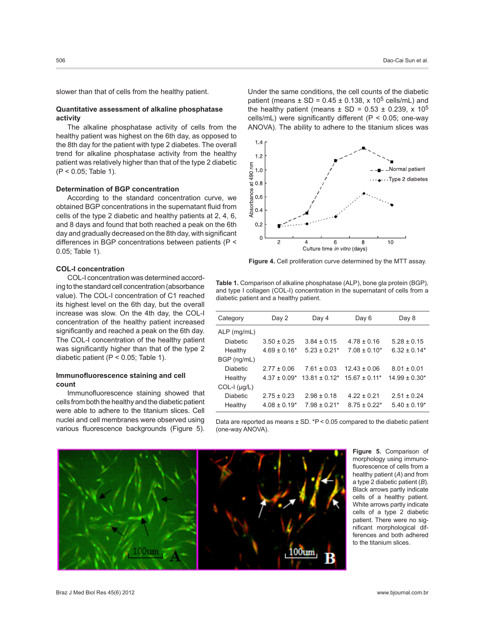slower than that of cells from the healthy patient.

## **Quantitative assessment of alkaline phosphatase activity**

The alkaline phosphatase activity of cells from the healthy patient was highest on the 6th day, as opposed to the 8th day for the patient with type 2 diabetes. The overall trend for alkaline phosphatase activity from the healthy patient was relatively higher than that of the type 2 diabetic (P < 0.05; Table 1).

## **Determination of BGP concentration**

According to the standard concentration curve, we obtained BGP concentrations in the supernatant fluid from cells of the type 2 diabetic and healthy patients at 2, 4, 6, and 8 days and found that both reached a peak on the 6th day and gradually decreased on the 8th day, with significant differences in BGP concentrations between patients (P < 0.05; Table 1).

#### **COL-I concentration**

COL-I concentration was determined according to the standard cell concentration (absorbance value). The COL-I concentration of C1 reached its highest level on the 6th day, but the overall increase was slow. On the 4th day, the COL-I concentration of the healthy patient increased significantly and reached a peak on the 6th day. The COL-I concentration of the healthy patient was significantly higher than that of the type 2 diabetic patient (P < 0.05; Table 1).

## **Immunofluorescence staining and cell count**

Immunofluorescence staining showed that cells from both the healthy and the diabetic patient were able to adhere to the titanium slices. Cell nuclei and cell membranes were observed using various fluorescence backgrounds (Figure 5). Under the same conditions, the cell counts of the diabetic patient (means  $\pm$  SD = 0.45  $\pm$  0.138, x 10<sup>5</sup> cells/mL) and the healthy patient (means  $\pm$  SD = 0.53  $\pm$  0.239, x 10<sup>5</sup> cells/mL) were significantly different (P < 0.05; one-way ANOVA). The ability to adhere to the titanium slices was



**Figure 4.** Cell proliferation curve determined by the MTT assay.

**Table 1.** Comparison of alkaline phosphatase (ALP), bone gla protein (BGP), and type I collagen (COL-I) concentration in the supernatant of cells from a diabetic patient and a healthy patient.

| Category             | Day 2                        | Day 4             | Day 6             | Day 8              |
|----------------------|------------------------------|-------------------|-------------------|--------------------|
| $ALP$ (mg/mL)        |                              |                   |                   |                    |
| <b>Diabetic</b>      | $3.50 \pm 0.25$              | $3.84 \pm 0.15$   | $4.78 \pm 0.16$   | $5.28 \pm 0.15$    |
| Healthy              | $4.69 \pm 0.16^*$            | $5.23 + 0.21*$    | $7.08 \pm 0.10^*$ | $6.32 \pm 0.14*$   |
| BGP (ng/mL)          |                              |                   |                   |                    |
| <b>Diabetic</b>      | $2.77 \pm 0.06$              | $7.61 \pm 0.03$   | $12.43 \pm 0.06$  | $8.01 \pm 0.01$    |
| Healthy              | $4.37 \pm 0.09^*$            | $13.81 + 0.12*$   | $15.67 + 0.11*$   | $14.99 \pm 0.30^*$ |
| $COL-I$ ( $\mu$ g/L) |                              |                   |                   |                    |
| <b>Diabetic</b>      | $2.75 \pm 0.23$              | $2.98 \pm 0.18$   | $422 + 021$       | $2.51 \pm 0.24$    |
| Healthy              | $4.08 \pm 0.19$ <sup>*</sup> | $7.98 \pm 0.21$ * | $8.75 \pm 0.22^*$ | $5.40 \pm 0.19^*$  |

Data are reported as means  $\pm$  SD. \*P < 0.05 compared to the diabetic patient (one-way ANOVA).

> **Figure 5.** Comparison of morphology using immunofluorescence of cells from a healthy patient (*A*) and from a type 2 diabetic patient (*B*). Black arrows partly indicate cells of a healthy patient. White arrows partly indicate cells of a type 2 diabetic patient. There were no significant morphological differences and both adhered to the titanium slices.

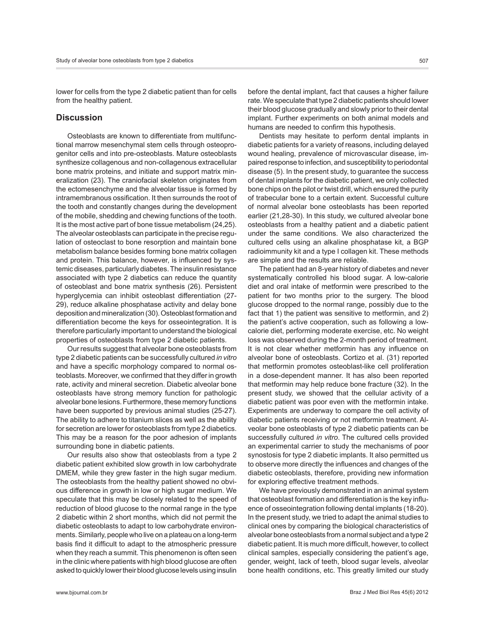lower for cells from the type 2 diabetic patient than for cells from the healthy patient.

# **Discussion**

Osteoblasts are known to differentiate from multifunctional marrow mesenchymal stem cells through osteoprogenitor cells and into pre-osteoblasts. Mature osteoblasts synthesize collagenous and non-collagenous extracellular bone matrix proteins, and initiate and support matrix mineralization (23). The craniofacial skeleton originates from the ectomesenchyme and the alveolar tissue is formed by intramembranous ossification. It then surrounds the root of the tooth and constantly changes during the development of the mobile, shedding and chewing functions of the tooth. It is the most active part of bone tissue metabolism (24,25). The alveolar osteoblasts can participate in the precise regulation of osteoclast to bone resorption and maintain bone metabolism balance besides forming bone matrix collagen and protein. This balance, however, is influenced by systemic diseases, particularly diabetes. The insulin resistance associated with type 2 diabetics can reduce the quantity of osteoblast and bone matrix synthesis (26). Persistent hyperglycemia can inhibit osteoblast differentiation (27- 29), reduce alkaline phosphatase activity and delay bone deposition and mineralization (30). Osteoblast formation and differentiation become the keys for osseointegration. It is therefore particularly important to understand the biological properties of osteoblasts from type 2 diabetic patients.

Our results suggest that alveolar bone osteoblasts from type 2 diabetic patients can be successfully cultured *in vitro* and have a specific morphology compared to normal osteoblasts. Moreover, we confirmed that they differ in growth rate, activity and mineral secretion. Diabetic alveolar bone osteoblasts have strong memory function for pathologic alveolar bone lesions. Furthermore, these memory functions have been supported by previous animal studies (25-27). The ability to adhere to titanium slices as well as the ability for secretion are lower for osteoblasts from type 2 diabetics. This may be a reason for the poor adhesion of implants surrounding bone in diabetic patients.

Our results also show that osteoblasts from a type 2 diabetic patient exhibited slow growth in low carbohydrate DMEM, while they grew faster in the high sugar medium. The osteoblasts from the healthy patient showed no obvious difference in growth in low or high sugar medium. We speculate that this may be closely related to the speed of reduction of blood glucose to the normal range in the type 2 diabetic within 2 short months, which did not permit the diabetic osteoblasts to adapt to low carbohydrate environments. Similarly, people who live on a plateau on a long-term basis find it difficult to adapt to the atmospheric pressure when they reach a summit. This phenomenon is often seen in the clinic where patients with high blood glucose are often asked to quickly lower their blood glucose levels using insulin

before the dental implant, fact that causes a higher failure rate. We speculate that type 2 diabetic patients should lower their blood glucose gradually and slowly prior to their dental implant. Further experiments on both animal models and humans are needed to confirm this hypothesis.

Dentists may hesitate to perform dental implants in diabetic patients for a variety of reasons, including delayed wound healing, prevalence of microvascular disease, impaired response to infection, and susceptibility to periodontal disease (5). In the present study, to guarantee the success of dental implants for the diabetic patient, we only collected bone chips on the pilot or twist drill, which ensured the purity of trabecular bone to a certain extent. Successful culture of normal alveolar bone osteoblasts has been reported earlier (21,28-30). In this study, we cultured alveolar bone osteoblasts from a healthy patient and a diabetic patient under the same conditions. We also characterized the cultured cells using an alkaline phosphatase kit, a BGP radioimmunity kit and a type I collagen kit. These methods are simple and the results are reliable.

The patient had an 8-year history of diabetes and never systematically controlled his blood sugar. A low-calorie diet and oral intake of metformin were prescribed to the patient for two months prior to the surgery. The blood glucose dropped to the normal range, possibly due to the fact that 1) the patient was sensitive to metformin, and 2) the patient's active cooperation, such as following a lowcalorie diet, performing moderate exercise, etc. No weight loss was observed during the 2-month period of treatment. It is not clear whether metformin has any influence on alveolar bone of osteoblasts. Cortizo et al. (31) reported that metformin promotes osteoblast-like cell proliferation in a dose-dependent manner. It has also been reported that metformin may help reduce bone fracture (32). In the present study, we showed that the cellular activity of a diabetic patient was poor even with the metformin intake. Experiments are underway to compare the cell activity of diabetic patients receiving or not metformin treatment. Alveolar bone osteoblasts of type 2 diabetic patients can be successfully cultured *in vitro*. The cultured cells provided an experimental carrier to study the mechanisms of poor synostosis for type 2 diabetic implants. It also permitted us to observe more directly the influences and changes of the diabetic osteoblasts, therefore, providing new information for exploring effective treatment methods.

We have previously demonstrated in an animal system that osteoblast formation and differentiation is the key influence of osseointegration following dental implants (18-20). In the present study, we tried to adapt the animal studies to clinical ones by comparing the biological characteristics of alveolar bone osteoblasts from a normal subject and a type 2 diabetic patient. It is much more difficult, however, to collect clinical samples, especially considering the patient's age, gender, weight, lack of teeth, blood sugar levels, alveolar bone health conditions, etc. This greatly limited our study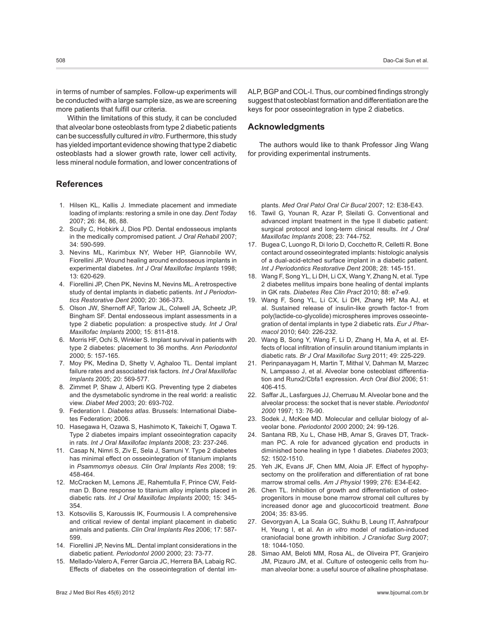in terms of number of samples. Follow-up experiments will be conducted with a large sample size, as we are screening more patients that fulfill our criteria.

Within the limitations of this study, it can be concluded that alveolar bone osteoblasts from type 2 diabetic patients can be successfully cultured *in vitro*. Furthermore, this study has yielded important evidence showing that type 2 diabetic osteoblasts had a slower growth rate, lower cell activity, less mineral nodule formation, and lower concentrations of

# **References**

- 1. Hilsen KL, Kallis J. Immediate placement and immediate loading of implants: restoring a smile in one day. *Dent Today* 2007; 26: 84, 86, 88.
- 2. Scully C, Hobkirk J, Dios PD. Dental endosseous implants in the medically compromised patient. *J Oral Rehabil* 2007; 34: 590-599.
- 3. Nevins ML, Karimbux NY, Weber HP, Giannobile WV, Fiorellini JP. Wound healing around endosseous implants in experimental diabetes. *Int J Oral Maxillofac Implants* 1998; 13: 620-629.
- 4. Fiorellini JP, Chen PK, Nevins M, Nevins ML. A retrospective study of dental implants in diabetic patients. *Int J Periodontics Restorative Dent* 2000; 20: 366-373.
- 5. Olson JW, Shernoff AF, Tarlow JL, Colwell JA, Scheetz JP, Bingham SF. Dental endosseous implant assessments in a type 2 diabetic population: a prospective study. *Int J Oral Maxillofac Implants* 2000; 15: 811-818.
- 6. Morris HF, Ochi S, Winkler S. Implant survival in patients with type 2 diabetes: placement to 36 months. *Ann Periodontol* 2000; 5: 157-165.
- 7. Moy PK, Medina D, Shetty V, Aghaloo TL. Dental implant failure rates and associated risk factors. *Int J Oral Maxillofac Implants* 2005; 20: 569-577.
- 8. Zimmet P, Shaw J, Alberti KG. Preventing type 2 diabetes and the dysmetabolic syndrome in the real world: a realistic view. *Diabet Med* 2003; 20: 693-702.
- 9. Federation I. *Diabetes atlas*. Brussels: International Diabetes Federation; 2006.
- 10. Hasegawa H, Ozawa S, Hashimoto K, Takeichi T, Ogawa T. Type 2 diabetes impairs implant osseointegration capacity in rats. *Int J Oral Maxillofac Implants* 2008; 23: 237-246.
- 11. Casap N, Nimri S, Ziv E, Sela J, Samuni Y. Type 2 diabetes has minimal effect on osseointegration of titanium implants in *Psammomys obesus*. *Clin Oral Implants Res* 2008; 19: 458-464.
- 12. McCracken M, Lemons JE, Rahemtulla F, Prince CW, Feldman D. Bone response to titanium alloy implants placed in diabetic rats. *Int J Oral Maxillofac Implants* 2000; 15: 345- 354.
- 13. Kotsovilis S, Karoussis IK, Fourmousis I. A comprehensive and critical review of dental implant placement in diabetic animals and patients. *Clin Oral Implants Res* 2006; 17: 587- 599.
- 14. Fiorellini JP, Nevins ML. Dental implant considerations in the diabetic patient. *Periodontol 2000* 2000; 23: 73-77.
- 15. Mellado-Valero A, Ferrer Garcia JC, Herrera BA, Labaig RC. Effects of diabetes on the osseointegration of dental im-

ALP, BGP and COL-I. Thus, our combined findings strongly suggest that osteoblast formation and differentiation are the keys for poor osseointegration in type 2 diabetics.

# **Acknowledgments**

The authors would like to thank Professor Jing Wang for providing experimental instruments.

plants. *Med Oral Patol Oral Cir Bucal* 2007; 12: E38-E43.

- 16. Tawil G, Younan R, Azar P, Sleilati G. Conventional and advanced implant treatment in the type II diabetic patient: surgical protocol and long-term clinical results. *Int J Oral Maxillofac Implants* 2008; 23: 744-752.
- 17. Bugea C, Luongo R, Di Iorio D, Cocchetto R, Celletti R. Bone contact around osseointegrated implants: histologic analysis of a dual-acid-etched surface implant in a diabetic patient. *Int J Periodontics Restorative Dent* 2008; 28: 145-151.
- 18. Wang F, Song YL, Li DH, Li CX, Wang Y, Zhang N, et al. Type 2 diabetes mellitus impairs bone healing of dental implants in GK rats. *Diabetes Res Clin Pract* 2010; 88: e7-e9.
- 19. Wang F, Song YL, Li CX, Li DH, Zhang HP, Ma AJ, et al. Sustained release of insulin-like growth factor-1 from poly(lactide-co-glycolide) microspheres improves osseointegration of dental implants in type 2 diabetic rats. *Eur J Pharmacol* 2010; 640: 226-232.
- 20. Wang B, Song Y, Wang F, Li D, Zhang H, Ma A, et al. Effects of local infiltration of insulin around titanium implants in diabetic rats. *Br J Oral Maxillofac Surg* 2011; 49: 225-229.
- 21. Perinpanayagam H, Martin T, Mithal V, Dahman M, Marzec N, Lampasso J, et al. Alveolar bone osteoblast differentiation and Runx2/Cbfa1 expression. *Arch Oral Biol* 2006; 51: 406-415.
- 22. Saffar JL, Lasfargues JJ, Cherruau M. Alveolar bone and the alveolar process: the socket that is never stable. *Periodontol 2000* 1997; 13: 76-90.
- 23. Sodek J, McKee MD. Molecular and cellular biology of alveolar bone. *Periodontol 2000* 2000; 24: 99-126.
- 24. Santana RB, Xu L, Chase HB, Amar S, Graves DT, Trackman PC. A role for advanced glycation end products in diminished bone healing in type 1 diabetes. *Diabetes* 2003; 52: 1502-1510.
- 25. Yeh JK, Evans JF, Chen MM, Aloia JF. Effect of hypophysectomy on the proliferation and differentiation of rat bone marrow stromal cells. *Am J Physiol* 1999; 276: E34-E42.
- 26. Chen TL. Inhibition of growth and differentiation of osteoprogenitors in mouse bone marrow stromal cell cultures by increased donor age and glucocorticoid treatment. *Bone* 2004; 35: 83-95.
- 27. Gevorgyan A, La Scala GC, Sukhu B, Leung IT, Ashrafpour H, Yeung I, et al. An *in vitro* model of radiation-induced craniofacial bone growth inhibition. *J Craniofac Surg* 2007; 18: 1044-1050.
- 28. Simao AM, Beloti MM, Rosa AL, de Oliveira PT, Granjeiro JM, Pizauro JM, et al. Culture of osteogenic cells from human alveolar bone: a useful source of alkaline phosphatase.